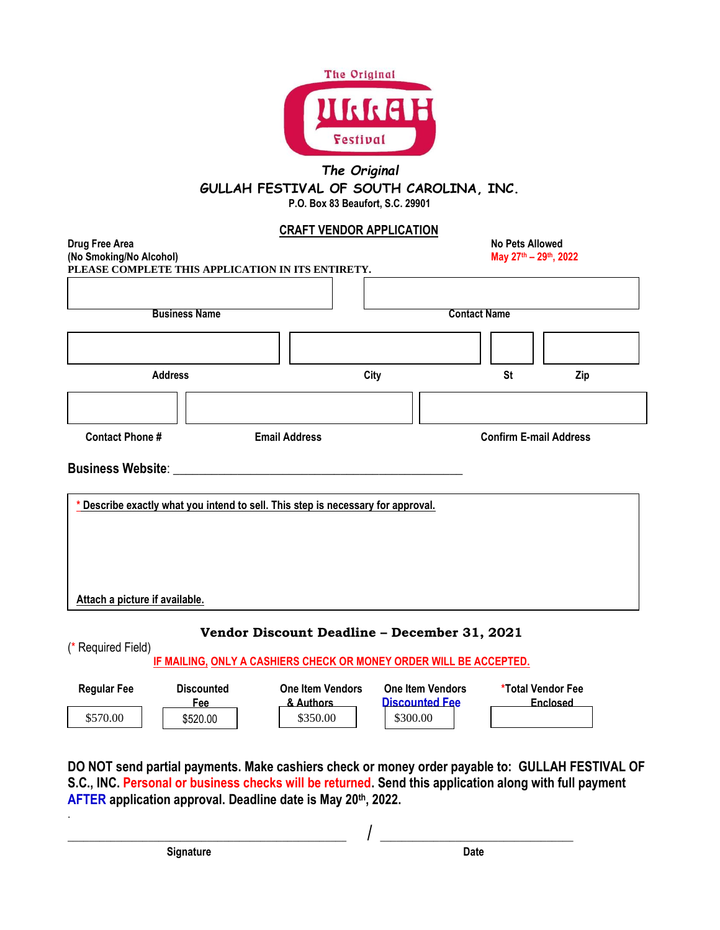

## *The Original* **GULLAH FESTIVAL OF SOUTH CAROLINA, INC. P.O. Box 83 Beaufort, S.C. 29901**

## **CRAFT VENDOR APPLICATION**

| Drug Free Area<br>(No Smoking/No Alcohol)         |                                                                                |  |                                              | <b>No Pets Allowed</b><br>May 27th - 29th, 2022 |                               |                          |          |  |  |
|---------------------------------------------------|--------------------------------------------------------------------------------|--|----------------------------------------------|-------------------------------------------------|-------------------------------|--------------------------|----------|--|--|
| PLEASE COMPLETE THIS APPLICATION IN ITS ENTIRETY. |                                                                                |  |                                              |                                                 |                               |                          |          |  |  |
|                                                   |                                                                                |  |                                              |                                                 |                               |                          |          |  |  |
| <b>Business Name</b>                              |                                                                                |  |                                              | <b>Contact Name</b>                             |                               |                          |          |  |  |
|                                                   |                                                                                |  |                                              |                                                 |                               |                          |          |  |  |
|                                                   |                                                                                |  |                                              |                                                 |                               |                          |          |  |  |
| <b>Address</b>                                    |                                                                                |  | City                                         |                                                 |                               | <b>St</b>                | Zip      |  |  |
|                                                   |                                                                                |  |                                              |                                                 |                               |                          |          |  |  |
|                                                   |                                                                                |  |                                              |                                                 |                               |                          |          |  |  |
| <b>Contact Phone#</b><br><b>Email Address</b>     |                                                                                |  |                                              |                                                 | <b>Confirm E-mail Address</b> |                          |          |  |  |
|                                                   |                                                                                |  |                                              |                                                 |                               |                          |          |  |  |
| <b>Business Website:</b>                          |                                                                                |  |                                              |                                                 |                               |                          |          |  |  |
|                                                   |                                                                                |  |                                              |                                                 |                               |                          |          |  |  |
|                                                   | Describe exactly what you intend to sell. This step is necessary for approval. |  |                                              |                                                 |                               |                          |          |  |  |
|                                                   |                                                                                |  |                                              |                                                 |                               |                          |          |  |  |
|                                                   |                                                                                |  |                                              |                                                 |                               |                          |          |  |  |
|                                                   |                                                                                |  |                                              |                                                 |                               |                          |          |  |  |
|                                                   |                                                                                |  |                                              |                                                 |                               |                          |          |  |  |
|                                                   |                                                                                |  |                                              |                                                 |                               |                          |          |  |  |
| Attach a picture if available.                    |                                                                                |  |                                              |                                                 |                               |                          |          |  |  |
|                                                   |                                                                                |  |                                              |                                                 |                               |                          |          |  |  |
|                                                   |                                                                                |  | Vendor Discount Deadline - December 31, 2021 |                                                 |                               |                          |          |  |  |
| (* Required Field)                                |                                                                                |  |                                              |                                                 |                               |                          |          |  |  |
|                                                   | IF MAILING, ONLY A CASHIERS CHECK OR MONEY ORDER WILL BE ACCEPTED.             |  |                                              |                                                 |                               |                          |          |  |  |
| <b>Regular Fee</b>                                | <b>Discounted</b>                                                              |  | <b>One Item Vendors</b>                      | <b>One Item Vendors</b>                         |                               | <b>*Total Vendor Fee</b> |          |  |  |
|                                                   | Fee                                                                            |  | & Authors                                    | <b>Discounted Fee</b>                           |                               |                          | Enclosed |  |  |
| \$570.00                                          | \$520.00                                                                       |  | \$350.00                                     | \$300.00                                        |                               |                          |          |  |  |

**DO NOT send partial payments. Make cashiers check or money order payable to: GULLAH FESTIVAL OF S.C., INC. Personal or business checks will be returned. Send this application along with full payment AFTER application approval. Deadline date is May 20th, 2022.** 

\_\_\_\_\_\_\_\_\_\_\_\_\_\_\_\_\_\_\_\_\_\_\_\_\_\_\_\_\_\_\_\_\_\_\_\_\_\_\_\_\_\_\_\_\_\_\_\_\_\_\_\_ / \_\_\_\_\_\_\_\_\_\_\_\_\_\_\_\_\_\_\_\_\_\_\_\_\_\_\_\_\_\_\_\_\_\_\_\_

**Signature Date** 

.